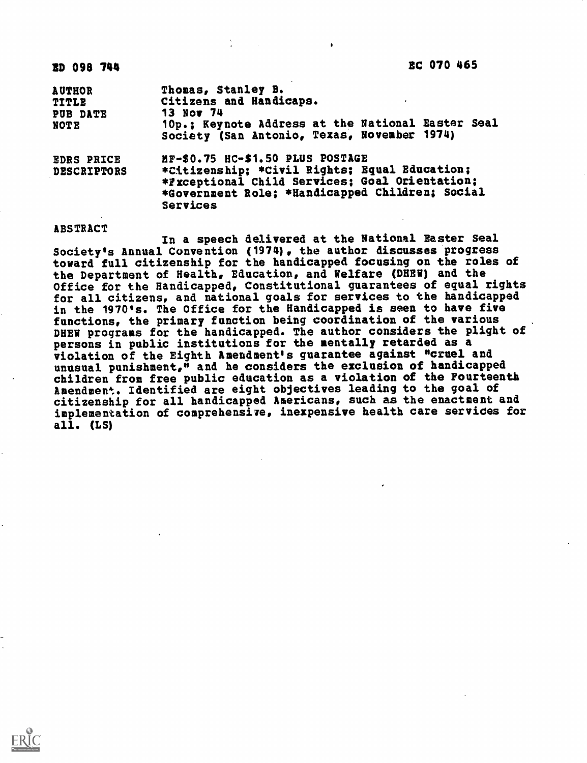| <b>AUTHOR</b><br><b>TITLE</b><br>PUB DATE<br>NOTE | Thomas, Stanley B.<br>Citizens and Handicaps.<br><b>13 Nov 74</b><br>10p.; Keynote Address at the National Easter Seal<br>Society (San Antonio, Texas, November 1974)                              |
|---------------------------------------------------|----------------------------------------------------------------------------------------------------------------------------------------------------------------------------------------------------|
| <b>EDRS PRICE</b><br><b>DESCRIPTORS</b>           | MF-\$0.75 HC-\$1.50 PLUS POSTAGE<br>*Citizenship; *Civil Rights; Equal Education;<br>*Fxceptional Child Services; Goal Orientation;<br>*Government Role; *Handicapped Children: Social<br>Services |

## ABSTRACT

In a speech delivered at the National Easter Seal Society's Annual Convention (1974), the author discusses progress toward full citizenship for the handicapped focusing on the roles of the Department of Health, Education, and Welfare (DHEW) and the Office for the Handicapped, Constitutional guarantees of equal rights for all citizens, and national goals for services to the handicapped in the 1970's. The Office for the Handicapped is seen to have five functions, the primary function being coordination of the various DHEW programs for the handicapped. The author considers the plight of persons in public institutions for the mentally retarded as a violation of the Eighth Amendment's guarantee against "cruel and unusual punishment," and he considers the exclusion of handicapped children from free public education as a violation of the Fourteenth Amendment. Identified are eight objectives leading to the goal of citizenship for all handicapped Americans, such as the enactment and implementation of comprehensive, inexpensive health care services for all. (LS)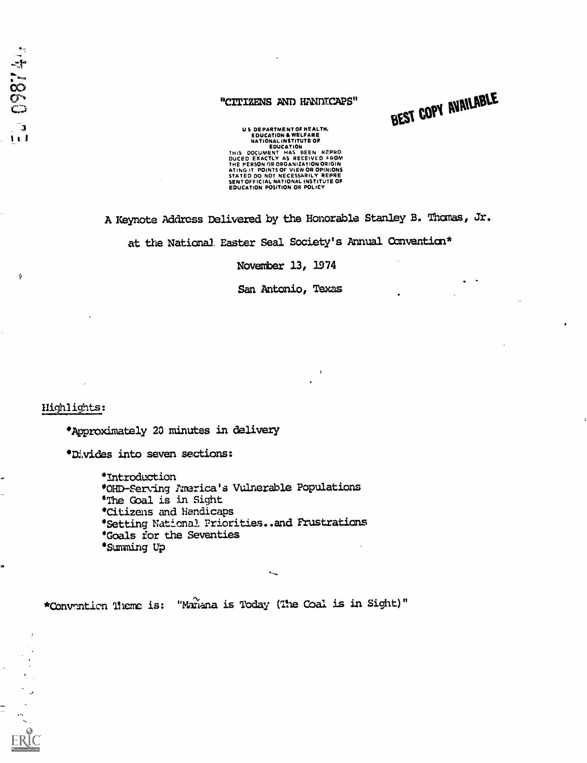$\hat{\mathbf{y}}$ 

 $\equiv$ 

## "CITIZENS AND HANDICAPS"

BEST COPY AVAILABLE

US DEPARTMENT OF HEALTH,<br>
EDUCATION & WELFARE<br>
NATIONAL INSTITUTE OF<br>
EDUCATION<br>
THIS DOCUMENT HAS BEEN REPRO<br>
DUCED EXACT MS AS RECEIVED FROM<br>
THE PERSON OR ORGANIZATION ORIGIN<br>
ATING IT POINTS OF VIEW OR OPINIONS<br>
SENT O

Al Keynote Address Delivered by the Honorable Stanley B. Thomas, Jr.

at the National Easter Seal Society's Annual Convention\*

November 13, 1974

San Antonio, Texas

Highlights:

Approximately 20 minutes in delivery

'Divides into seven sections:

Introduction °OHO-Serving America's Vulnerable Populations 'The Goal is in Sight 'Citizens and Handicaps **\*Setting National Priorities..and Frustrations** \*Goals for the Seventies °Summing Up

\*Convention Theme is: "Manana is Today (The Coal is in Sight)"

 $\sim$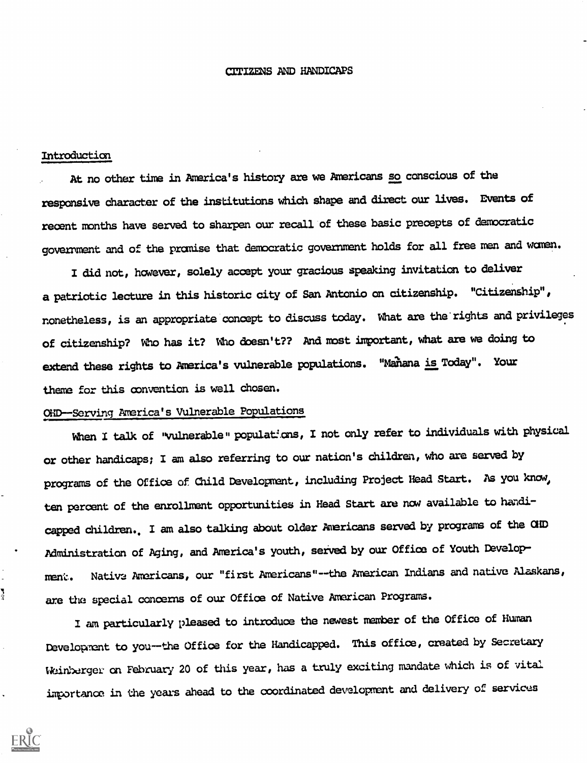# CITIZENS AND HANDICAPS

### Introduction

J.

At no other time in America's history are we Americans so conscious of the responsive character of the institutions which shape and direct our lives. Events of recent months have served to sharpen our recall of these basic precepts of democratic government and of the promise that democratic government holds for all free men and women.

I did not, however, solely accept your gracious speaking invitation to deliver a patriotic lecture in this historic city of San Antonio on citizenship. "Citizenship", nonetheless, is an appropriate concept to discuss today. What are the rights and privileges of citizenship? Who has it? Who doesn't?? And most important, what are we doing to extend these rights to America's vulnerable populations. "Mahana is Today". Your theme for this convention is well chosen.

## OhMiServing America's Vulnerable Populations

When I talk of "vulnerable" populations, I not only refer to individuals with physical or other handicaps; I am also referring to our nation's children, who are served by programs of the Office of Child Development, including Project Head Start. As you know, ten percent of the enrollment opportunities in Head Start are now available to handicapped children.. I am also talking about older Americans served by programs of the CUD Administration of Aging, and America's youth, served by our Office of Youth Development. Native Americans, our "first Americans"--the American Indians and native Alaskans, are the special concerns of our Office of Native American Programs.

I am particularly pleased to introduce the newest member of the Office of Human Development to you-the Office for the Handicapped. This office, created by Secretary Weinberger on February 20 of this year, has a truly exciting mandate which is of vital importance in the years ahead to the coordinated development and delivery of services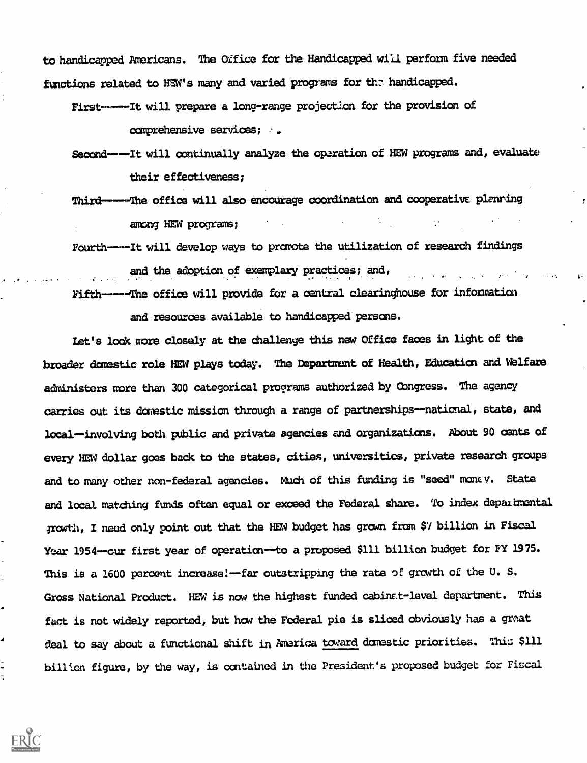to handicapped Americans. The Oifice for the Handicapped will perform five needed functions related to HEW's many and varied programs for the handicapped.

First-------It will prepare a long-range projection for the provision of comprehensive services;

Second -- It will continually analyze the operation of HEW programs and, evaluate their effectiveness;

Third-----The office will also encourage coordination and cooperative planning among HEW programs;

Fourth-----It will develop ways to promote the utilization of research findings and the adoption of exemplary practices; and,

Fifth-----lhe office will provide for a central clearinghouse for information

and resources available to handicapped persons.

Let's look nore closely at the challenge this new Office faces in light of the broader domestic role HEW plays today. The Department of Health, Education and Welfare administers more than 300 categorical programs authorized by Congress. The agency carries out its domestic mission through a range of partnerships--national, state, and local-involving both public and private agencies and organizations. About 90 cents of every HEW dollar goes back to the states, cities, universities, private research groups and to many other non-federal agencies. Much of this funding is "seed" money. State and local matching funds often equal or exceed the Federal share. To index departmental Trowth, I need only point out that the HEW budget has gram from \$7 billion in Fiscal Year 1954--our first year of operation--to a proposed \$111 billion budget for FY 1975. This is a 1600 percent increase!--far outstripping the rate of growth of the U.S. Gross National Product. HEW is now the highest funded cabins t-level department. This fact is not widely reported, but how the Federal pie is sliced obviously has a great deal to say about a functional shift in America toward domestic priorities. This \$111 billion figure, by the way, is contained in the President's proposed budget for Fiscal

Z

÷,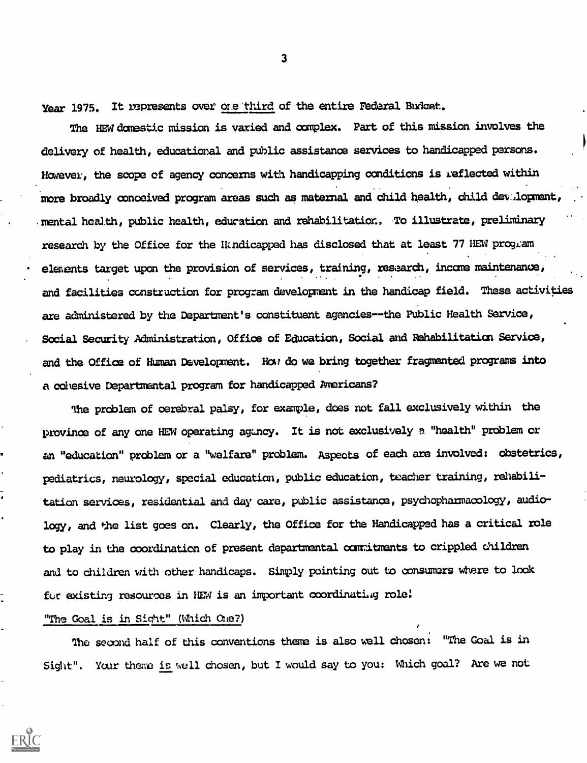Year 1975. It represents over one third of the entire Federal Budget.

The HEWdenestic mission is varied and complex. Part of this mission involves the delivery of health, educational and public assistance services to handicapped persons. However, the scope of agency concerns with handicapping conditions is reflected within more broadly conceived program areas such as maternal and child health, child devalopment, mental health, public health, education and rehabilitation, To illustrate, preliminary research by the Office for the Htndicapped has disclosed that at least 77 HEW program elements target upon the provision of services, training, research, income maintenance, and facilities construction for program development in the handicap field. These activities are administered by the Departnent's constituent agencies --the Public Health Service, Social Security Administration, Office of Education, Social and Rehabilitation Service, and the office of Human Development. Hai do we bring together fragmented programs into a cohesive Departmental program for handicapped Americans?

The problem of cerebral palsy, for example, does not fall exclusively within the province of any one HEW operating agency. It is not exclusively a "health" problem or an "education" problem or a "welfare" problem. Aspects of each are involved: obstetrics, pediatrics, neurology, special education, public education, teacher training, rehabilitation services, residential and day care, public assistance, psychopharmacology, audiology, and the list goes on. Clearly, the Office for the Handicapped has a critical role to play in the coordination of present departmental comitments to crippled children and to children with other handicaps. Simply pointing out to consumers where to look for existing resources in HEW is an important coordinating role!

"The Goal is in Sight" (Which One?)

The second half of this conventions theme is also well chosen: "The Goal is in Sight". Your theme is well chosen, but I would say to you: Which goal? Are we not

3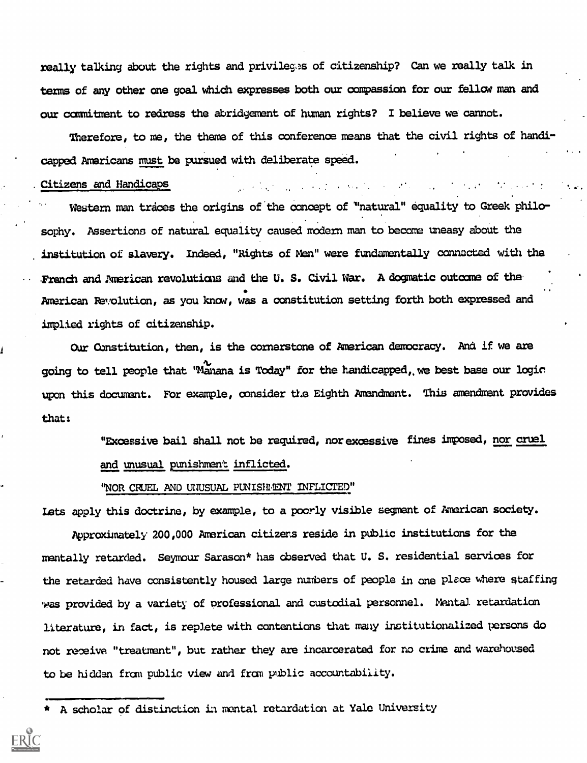really talking about the rights and privileges of citizenship? Can we really talk in terms of any other one goal which expresses both our compassion for our fellow man and our commitment to redress the abridgement of human rights? I believe we cannot.

Therefore, to me, the theme of this conference means that the civil rights of handicapped Americans must be pursued with deliberate speed.

 $\mathcal{L}^{\mathcal{L}}$  and  $\mathcal{L}^{\mathcal{L}}$  are the set of the set of the set of  $\mathcal{L}^{\mathcal{L}}$ 

#### . Citizens and Handicaps

Western man traces the origins of the concept of "natural" equality to Greek philosophy. Assertions of natural equality caused modern man to become uneasy about the institution of slavery. Indeed, "Bights of Men" were fundamentally connected with the French and American revolutions and the U. S. Civil War. A dogmatic outcome of the . American Revolution, as you know, was a constitution setting forth both expressed and implied rights of citizenship.

Our Constitution, then, is the cornerstone of American democracy. And if we are going to tell people that "Manana is Today" for the handicapped, we best base our logic upon this document. For example, consider the Eighth Amendment. This amendment provides that:

> "Excessive bail shall not be required, nor excessive fines imposed, nor cruel and unusual punishment inflicted.

"NOR CRUEL AND UNUSUAL PUNISHENT INFLICTED"

lets apply this doctrine, by example, to a poorly visible segment of American society. Approximately 200,000 American citizens reside in public institutions for the mentally retarded. Seymour Sarason\* has observed that U. S. residential services for the retarded have consistently housed large numbers of people in one place where staffing was provided by a variety of professional and custodial personnel. Mental retardation literature, in fact, is replete with contentions that many institutionalized persons do not receive "treatment", but rather they are incarcerated for no crime and warehoused to be hidden from public view and from public accountability.

A scholar of distinction in mental retardation at Yale University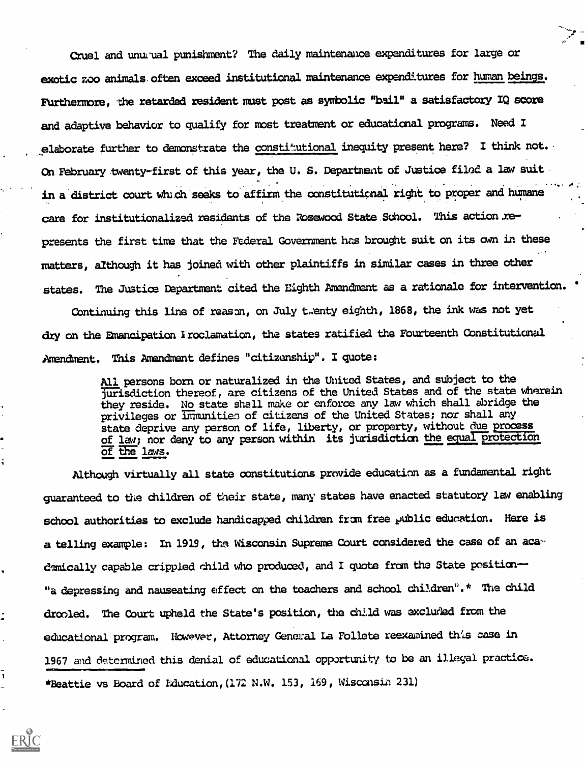Cruel and unusual punishment? The daily maintenance expenditures for large or exotic zoo animals. often exceed institutional maintenance expenditures for human beings. Furthermore, the retarded resident must post as symbolic "bail" a satisfactory IQ score and adaptive behavior to qualify for most treatment or educational programs. Need I elaborate further to demonstrate the constitutional inequity present here? I think not. On February twenty-first of this year, the U.S. Department of Justice filed a law suit. in a district court which seeks to affirm the constitutional right to proper and humane care for institutionalized residents of the Rosewood State School. This action .represents the first time that the Federal Government has brought suit on its awn in these matters, although it has joined with other plaintiffs in similar cases in three other states. The Justice Department cited the Eighth Amendment as a rationale for intervention.

Continuing this line of reason, on July twenty eighth, 1868, the ink was not yet dry on the Emancipation Iroclamation, the states ratified the Fourteenth Constitutional Amendment. This Amendment defines "citizenship". I quote:

> All persons born or naturalized in the United States, and subject to the jurisdiction thereof, are citizens of the United States and of the state wherein they reside. No state shall make or enforce any law which shall abridge the privileges or immunities of citizens of the United States; nor shall any state deprive any person of life, liberty, or property, without due process of law; nor deny to any person within its jurisdiction the equal protection of the laws.

Although virtually all state constitutions provide education as a fundamental right guaranteed to the children of their state, many states have enacted statutory law enabling school authorities to exclude handicapped children from free public education. Here is a telling example: In 1919, the Wisconsin Supreme Court considered the case of an academically capable crippled child who produced, and I quote from the State position-"a depressing and nauseating effect on the teachers and school children".\* The child drooled. The Court upheld the State's position, the child was excluded from the educational program. However, Attorney General La Follete reexamined this case in 1967 and determined this denial of educational opportunity to be an illegal practice. \*Beattie vs Board of Iducation, (172 N.W. 153, 169, Wisconsin 231)

ť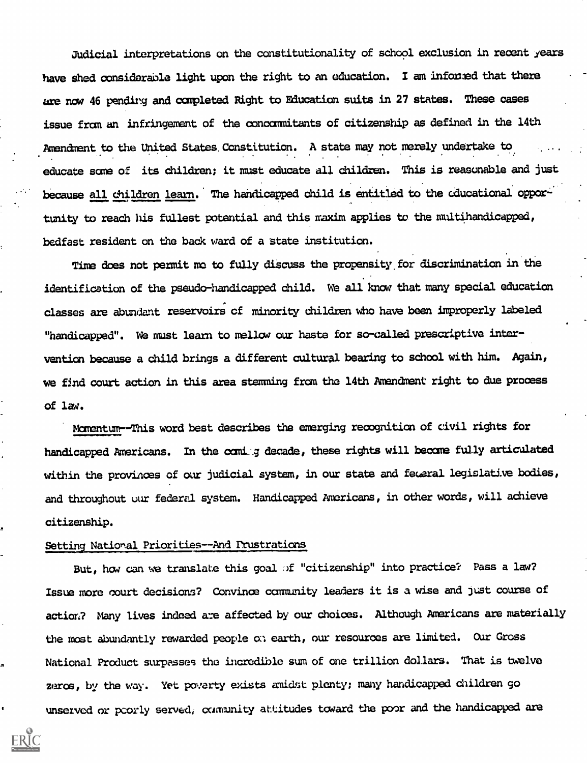Judicial interpretations on the constitutionality of school exclusion in recent years have shed considerable light upon the right to an education. I am informed that there are now 46 pending and completed Right to Education suits in 27 states. These cases issue from an infringement of the concommitants of citizenship as defined in the 14th Amendment to the United States. Constitution. A. state may not merely undertake to educate sane of its children; it must educate all children. This is reasonable and just because all children learn. The handicapped child is entitled to the educational opportunity to reach his fullest potential and this maxim applies to the multihandicagped, bedfast resident on the back ward of a state institution.

Time does not permit me to fully discuss the propensity, for discrimination in the identification of the pseudo-handicapped child. We all know that many special education classes are abundant reservoirs cf minority children who have been improperly labeled "handicapped". We must learn to mellow our haste for so-called prescriptive intervention because a child brings a different cultural bearing to school with him. Again, we find court action in this area stemming from the 14th Amendment right to due process of law.

Momentum--This word best describes the emerging recognition of civil rights for handicapped Americans. In the comig decade, these rights will become fully articulated within the provinces of our judicial system, in our state and feweral legislative bodies, and throughout our federal system. Handicapped Americans, in other words, will achieve citizenship.

## Setting National Priorities--And Frustrations

But, how can we translate this goal of "citizenship" into practice? Pass a law? Issue more court decisions? Convince community leaders it is a wise and just course of action? Many lives indeed are affected by our choices. Although Americans are materially the most abundantly rewarded people on earth, our resources are limited. Our Gross National Product surpasses the incredible sum of one trillion dollars. That is twelve zeros, by the way. Yet poverty exists amidst plenty; many handicapped children go unserved or poorly served, community attitudes toward the poor and the handicapped are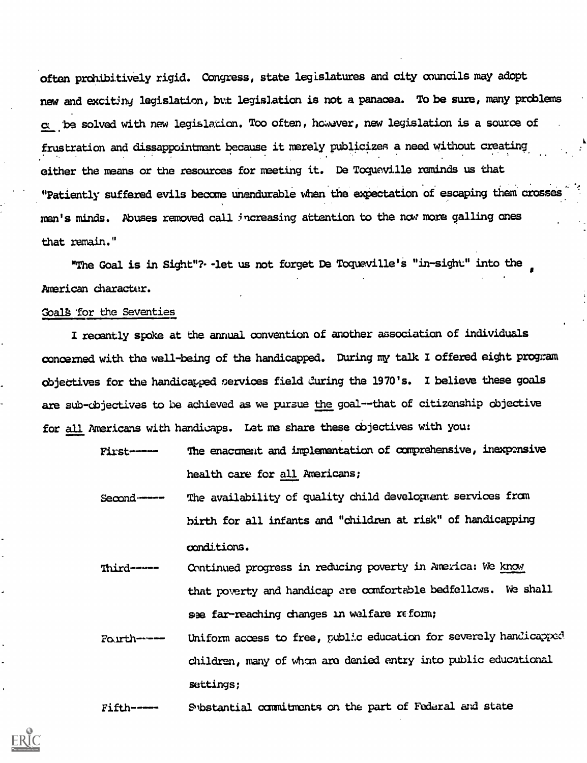often prohibitively rigid. Congress, state legislatures and city councils may adopt new and exciting legislation, but legislation is not a panacea. To be sure, many problems c .be solved with new legisladon. Too often, however, new legislation is a source of frustration and dissappointment because it merely publicizes a need without creating. either the means or the resources for meeting it. De Togueville reminds us that "Patiently suffered evils become unendurable when the expectation of escaping them crosses men's minds. Abuses removed call increasing attention to the now more galling ones that remain."

"The Goal is in Sight"? -let us not forget De Toqueville's "in-sight" into the American character.

# Coal's for the Seventies

I recently spoke at the annual convention of another association of individuals concerned with, the well-being of the handicapped. During my talk I offered eight program objectives for the handicapped services field curing the 1970's. I believe these goals are sub-objectives to be achieved as we pursue the goal--that of citizenship objective for all Americans with handicaps. Let me share these objectives with you:

```
First------ The enacoment and implementation of comprehensive, inexpensive
              health care for all Americans;
```
- Second---- The availability of quality child development services from birth for all infants and "children at risk" of handicapping conditions.
- Third----- Continued progress in reducing poverty in America: We know that poverty and handicap are comfortable bedfellows. We shall se far-reaching changes in welfare reform;
- Fourth------ Uniform access to free, public education for severely handicapped children, many of wham are denied entry into public educational settings;

Fifth---- Substantial commitments on the part of Federal and state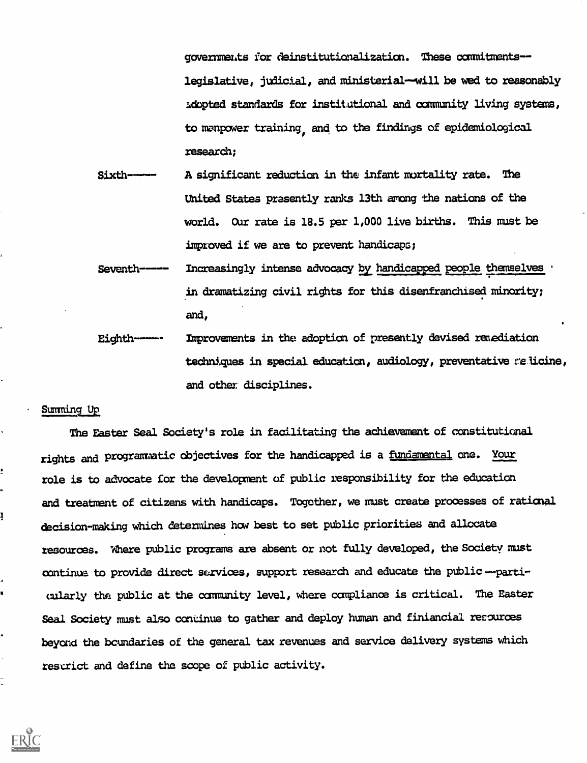governments for deinstitutionalization. These commitmentslegislative, judicial, and ministerial-will be wed to reasonably adopted standards for institutional and community living systems, to manpower training, and to the findings of epidemiological research;

Sixth---- A significant reduction in the infant mortality rate. The United States presently ranks 13th arong the nations of the world. Our rate is 18.5 per 1,000 live births. This must be improved if we are to prevent handicaps;

Seventh----- Increasingly intense advocacy by handicapped people themselves in dramatizing civil rights for this disenfranchised minority; and,

Eighth----- Improvements in the adoption of presently devised remadiation techniques in special education, audiology, preventative relicine, and other disciplines.

## Summing Up

ì

The Easter Seal. Society's role in facilitating the achievement of constitutional rights and programmatic objectives for the handicapped is a <u>fundamental</u> one. Your role is to advocate for the development of public responsibility for the education and treatment of citizens with handicaps. Together, we must create processes of rational decision-making which determines how best to set public priorities and allocate resources. Where public programs are absent or not fully developed, the Society must continua to provide direct sarvices, support research and educate the public---particularly the public at the oommunity level, where compliance is critical. The Easter Seal Society must also continue to gather and deploy human and finiancial resources beyond the boundaries of the general tax revenues and service delivery systems which restrict and define the scope of public activity.